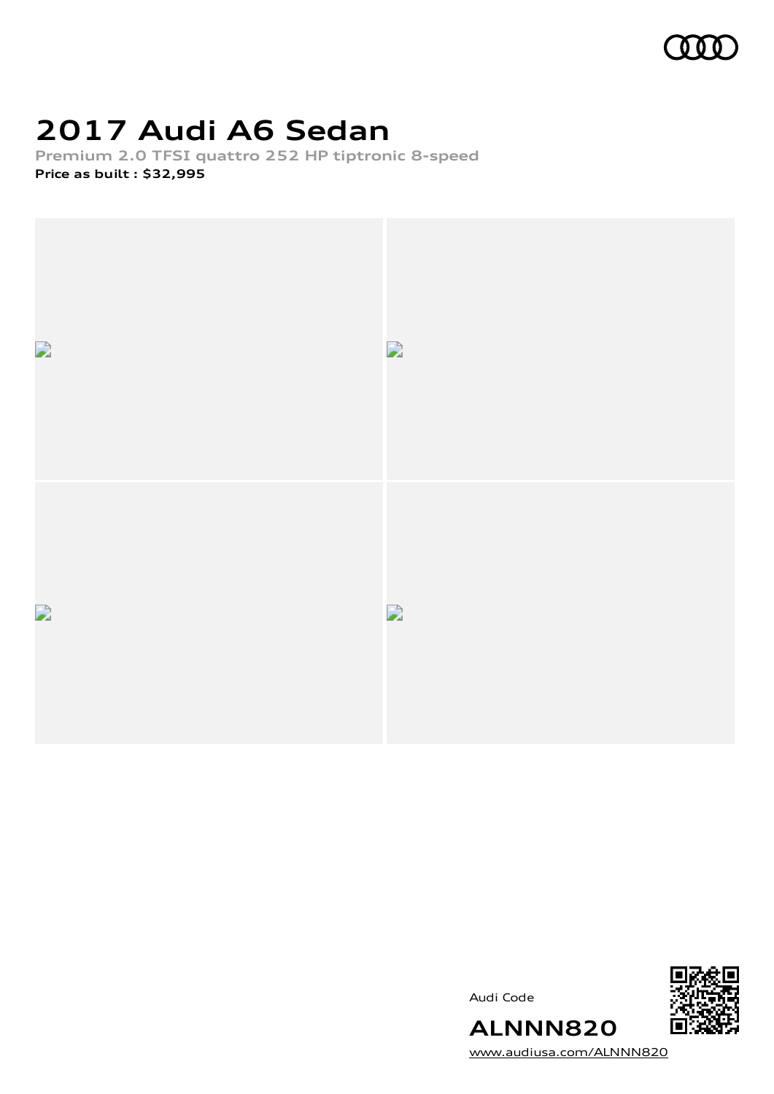

## **2017 Audi A6 Sedan**

**Premium 2.0 TFSI quattro 252 HP tiptronic 8-speed Price as built [:](#page-10-0) \$32,995**





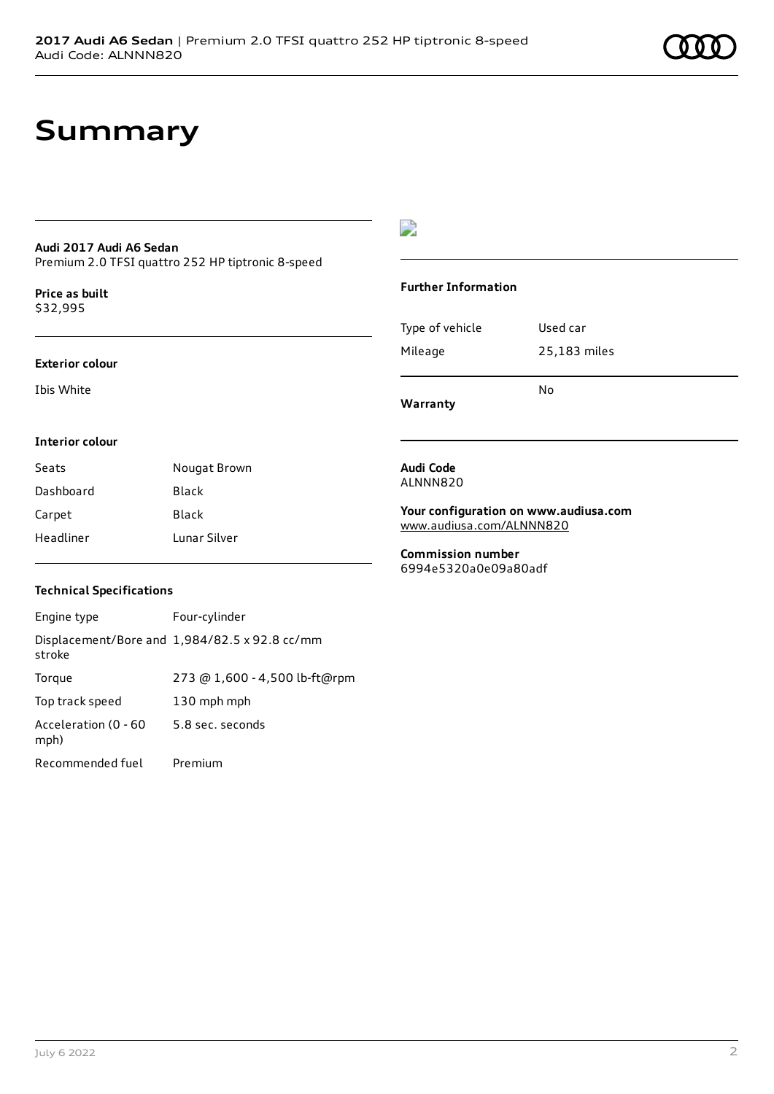## **Summary**

### **Audi 2017 Audi A6 Sedan**

Premium 2.0 TFSI quattro 252 HP tiptronic 8-speed

**Price as buil[t](#page-10-0)** \$32,995

### **Exterior colour**

Ibis White

### $\overline{\phantom{a}}$

### **Further Information**

|                 | N٥           |
|-----------------|--------------|
| Mileage         | 25,183 miles |
| Type of vehicle | Used car     |

**Your configuration on www.audiusa.com**

**Warranty**

**Audi Code** ALNNN820

### **Interior colour**

| Seats     | Nougat Brown |
|-----------|--------------|
| Dashboard | Black        |
| Carpet    | Black        |
| Headliner | Lunar Silver |

**Commission number** 6994e5320a0e09a80adf

[www.audiusa.com/ALNNN820](https://www.audiusa.com/ALNNN820)

### **Technical Specifications**

| Engine type                  | Four-cylinder                                 |
|------------------------------|-----------------------------------------------|
| stroke                       | Displacement/Bore and 1,984/82.5 x 92.8 cc/mm |
| Torque                       | 273 @ 1,600 - 4,500 lb-ft@rpm                 |
| Top track speed              | 130 mph mph                                   |
| Acceleration (0 - 60<br>mph) | 5.8 sec. seconds                              |
| Recommended fuel             | Premium                                       |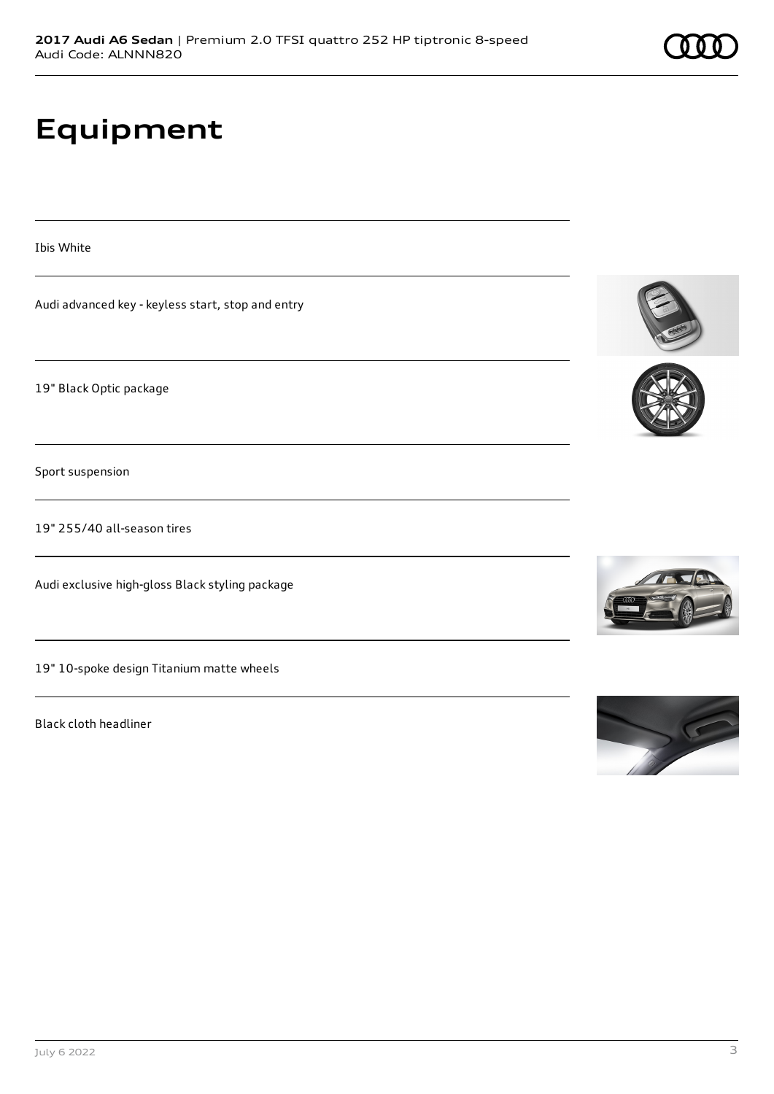## **Equipment**

Ibis White

Audi advanced key - keyless start, stop and entry

19" Black Optic package

Sport suspension

19" 255/40 all-season tires

Audi exclusive high-gloss Black styling package

19" 10-spoke design Titanium matte wheels

Black cloth headliner







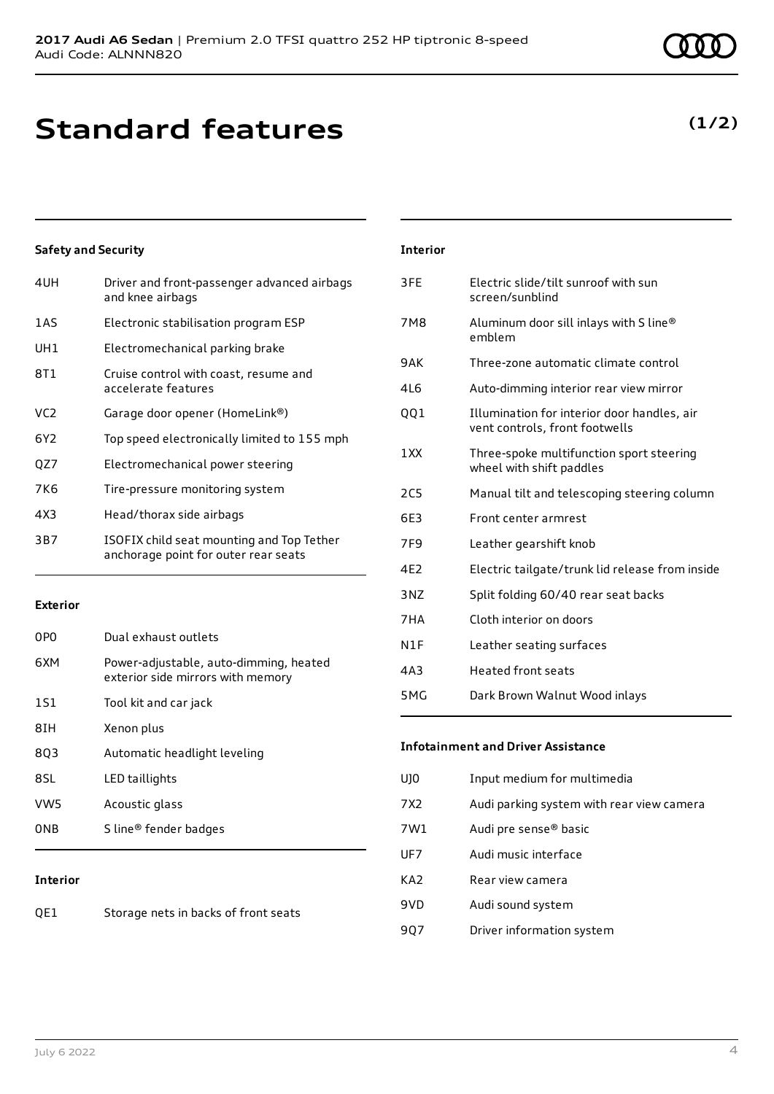## **Standard features**

### **Safety and Security**

| 4UH             | Driver and front-passenger advanced airbags<br>and knee airbags                   |
|-----------------|-----------------------------------------------------------------------------------|
| 1AS             | Electronic stabilisation program ESP                                              |
| UH1             | Electromechanical parking brake                                                   |
| 8T1             | Cruise control with coast, resume and<br>accelerate features                      |
| VC <sub>2</sub> | Garage door opener (HomeLink®)                                                    |
| 6Y2             | Top speed electronically limited to 155 mph                                       |
| QZ7             | Electromechanical power steering                                                  |
| 7K6             | Tire-pressure monitoring system                                                   |
| 4X3             | Head/thorax side airbags                                                          |
| 3B7             | ISOFIX child seat mounting and Top Tether<br>anchorage point for outer rear seats |
|                 |                                                                                   |

### **Exterior**

| 0PO             | Dual exhaust outlets                                                        |
|-----------------|-----------------------------------------------------------------------------|
| 6XM             | Power-adjustable, auto-dimming, heated<br>exterior side mirrors with memory |
| 1S1             | Tool kit and car jack                                                       |
| 8IH             | Xenon plus                                                                  |
| 803             | Automatic headlight leveling                                                |
| 8SL             | LED taillights                                                              |
| VW <sub>5</sub> | Acoustic glass                                                              |
| 0NB             | S line <sup>®</sup> fender badges                                           |

### **Interior**

| QE1 | Storage nets in backs of front seats |
|-----|--------------------------------------|
|-----|--------------------------------------|

### **Interior**

| 3FE             | Electric slide/tilt sunroof with sun<br>screen/sunblind                       |
|-----------------|-------------------------------------------------------------------------------|
| 7M <sub>8</sub> | Aluminum door sill inlays with S line®<br>emblem                              |
| 9AK             | Three-zone automatic climate control                                          |
| 4L6             | Auto-dimming interior rear view mirror                                        |
| QQ1             | Illumination for interior door handles, air<br>vent controls, front footwells |
| 1XX             | Three-spoke multifunction sport steering<br>wheel with shift paddles          |
| 2C <sub>5</sub> | Manual tilt and telescoping steering column                                   |
| 6E3             | Front center armrest                                                          |
| 7F9             | Leather gearshift knob                                                        |
| 4E2             | Electric tailgate/trunk lid release from inside                               |
| 3NZ             | Split folding 60/40 rear seat backs                                           |
| 7HA             | Cloth interior on doors                                                       |
| N1F             | Leather seating surfaces                                                      |
| 4A3             | <b>Heated front seats</b>                                                     |
| 5MG             | Dark Brown Walnut Wood inlays                                                 |

### **Infotainment and Driver Assistance**

| UJ0 | Input medium for multimedia               |
|-----|-------------------------------------------|
| 7X2 | Audi parking system with rear view camera |
| 7W1 | Audi pre sense® basic                     |
| UF7 | Audi music interface                      |
| KA2 | Rear view camera                          |
| 9VD | Audi sound system                         |
| 907 | Driver information system                 |
|     |                                           |

### **(1/2)**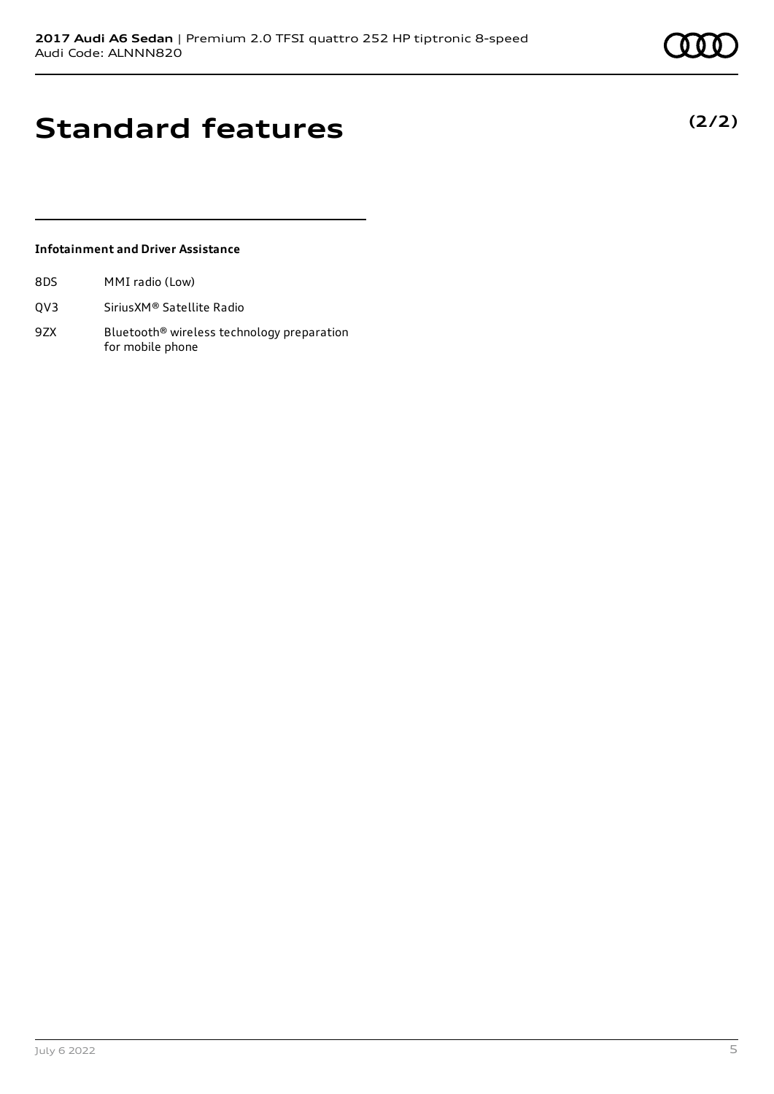## **Standard features**

### **Infotainment and Driver Assistance**

| 8DS |  | MMI radio (Low) |
|-----|--|-----------------|
|     |  |                 |

- QV3 SiriusXM® Satellite Radio
- 9ZX Bluetooth<sup>®</sup> wireless technology preparation for mobile phone

## **(2/2)**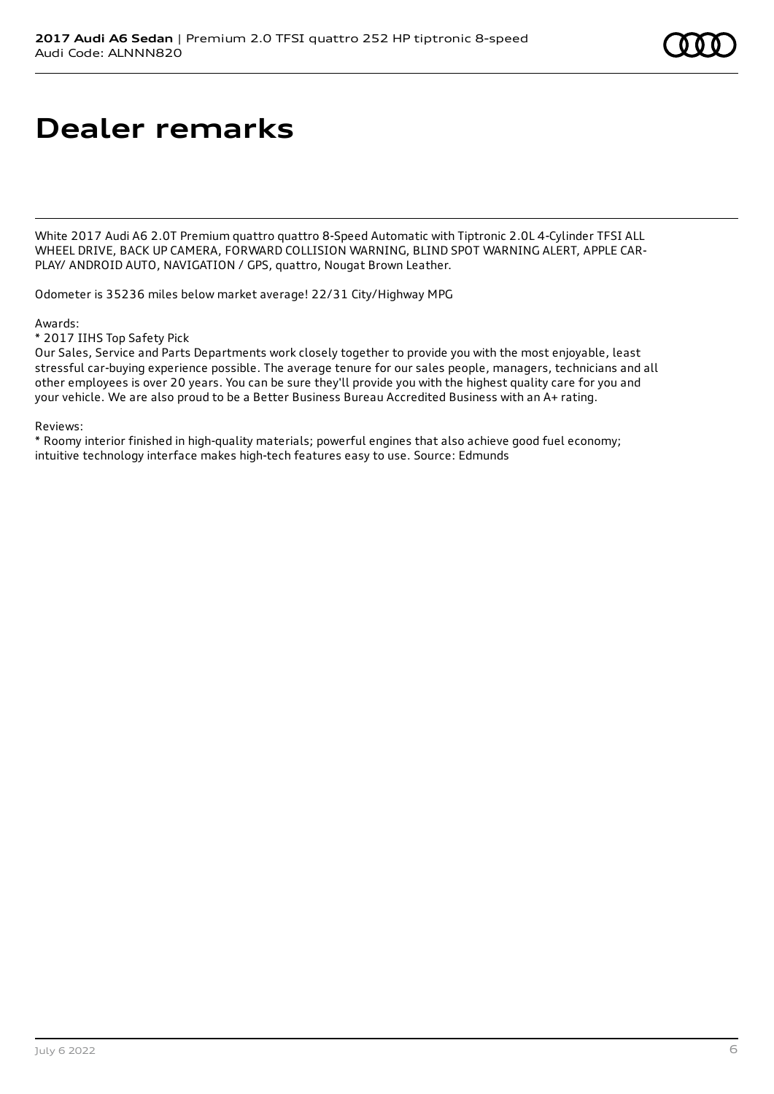## **Dealer remarks**

White 2017 Audi A6 2.0T Premium quattro quattro 8-Speed Automatic with Tiptronic 2.0L 4-Cylinder TFSI ALL WHEEL DRIVE, BACK UP CAMERA, FORWARD COLLISION WARNING, BLIND SPOT WARNING ALERT, APPLE CAR-PLAY/ ANDROID AUTO, NAVIGATION / GPS, quattro, Nougat Brown Leather.

Odometer is 35236 miles below market average! 22/31 City/Highway MPG

Awards:

\* 2017 IIHS Top Safety Pick

Our Sales, Service and Parts Departments work closely together to provide you with the most enjoyable, least stressful car-buying experience possible. The average tenure for our sales people, managers, technicians and all other employees is over 20 years. You can be sure they'll provide you with the highest quality care for you and your vehicle. We are also proud to be a Better Business Bureau Accredited Business with an A+ rating.

Reviews:

\* Roomy interior finished in high-quality materials; powerful engines that also achieve good fuel economy; intuitive technology interface makes high-tech features easy to use. Source: Edmunds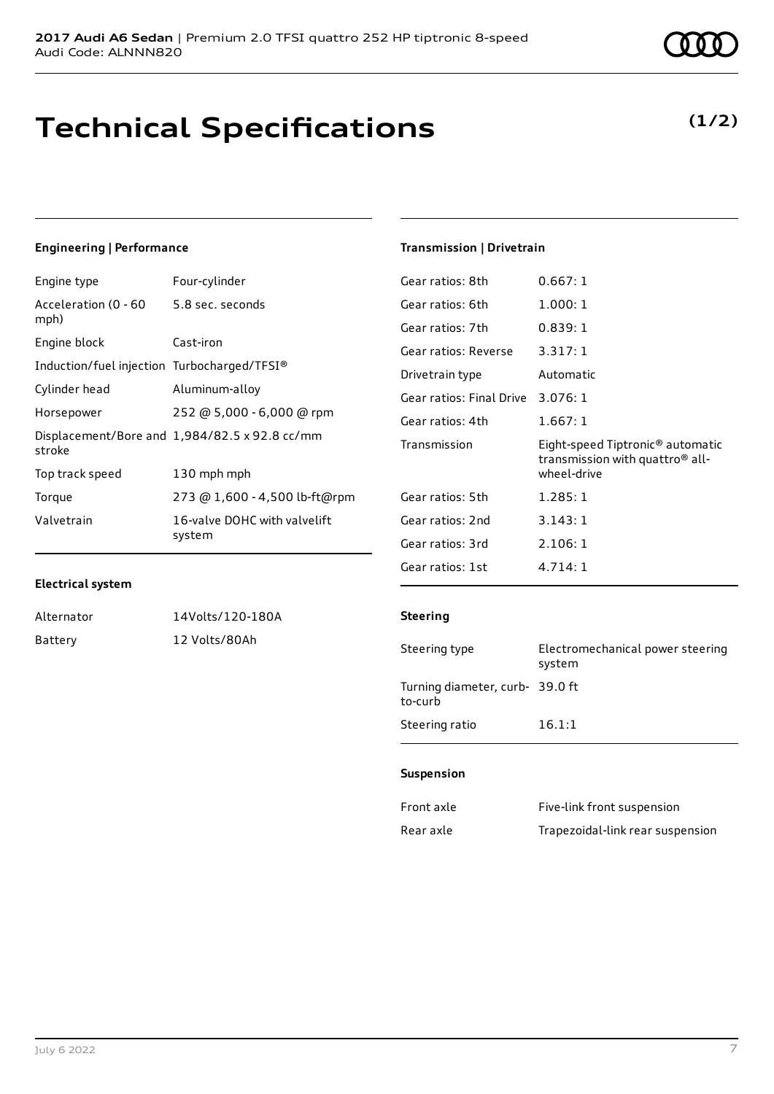## **Technical Specifications**

### **Engineering | Performance**

| Engine type                                     | Four-cylinder                                 |
|-------------------------------------------------|-----------------------------------------------|
| Acceleration (0 - 60 - 5.8 sec. seconds<br>mph) |                                               |
| Engine block                                    | Cast-iron                                     |
| Induction/fuel injection Turbocharged/TFSI®     |                                               |
| Cylinder head                                   | Aluminum-alloy                                |
| Horsepower                                      | 252 @ 5,000 - 6,000 @ rpm                     |
| stroke                                          | Displacement/Bore and 1,984/82.5 x 92.8 cc/mm |
| Top track speed                                 | 130 mph mph                                   |
| Torque                                          | 273 @ 1,600 - 4,500 lb-ft@rpm                 |
| Valvetrain                                      | 16-valve DOHC with valvelift<br>system        |
|                                                 |                                               |

### **Transmission | Drivetrain**

| Gear ratios: 8th         | 0.667:1                                                                                                    |
|--------------------------|------------------------------------------------------------------------------------------------------------|
| Gear ratios: 6th         | 1.000:1                                                                                                    |
| Gear ratios: 7th         | 0.839:1                                                                                                    |
| Gear ratios: Reverse     | 3.317:1                                                                                                    |
| Drivetrain type          | Automatic                                                                                                  |
| Gear ratios: Final Drive | 3.076:1                                                                                                    |
| Gear ratios: 4th         | 1.667:1                                                                                                    |
| Transmission             | Eight-speed Tiptronic <sup>®</sup> automatic<br>transmission with quattro <sup>®</sup> all-<br>wheel-drive |
| Gear ratios: 5th         |                                                                                                            |
|                          | 1.285:1                                                                                                    |
| Gear ratios: 2nd         | 3.143:1                                                                                                    |
| Gear ratios: 3rd         | 2.106:1                                                                                                    |

### **Electrical system**

| Alternator | 14Volts/120-180A |
|------------|------------------|
| Battery    | 12 Volts/80Ah    |

### **Steering**

| Steering type                             | Electromechanical power steering<br>system |
|-------------------------------------------|--------------------------------------------|
| Turning diameter, curb-39.0 ft<br>to-curb |                                            |
| Steering ratio                            | 16.1:1                                     |

### **Suspension**

| Front axle | Five-link front suspension       |
|------------|----------------------------------|
| Rear axle  | Trapezoidal-link rear suspension |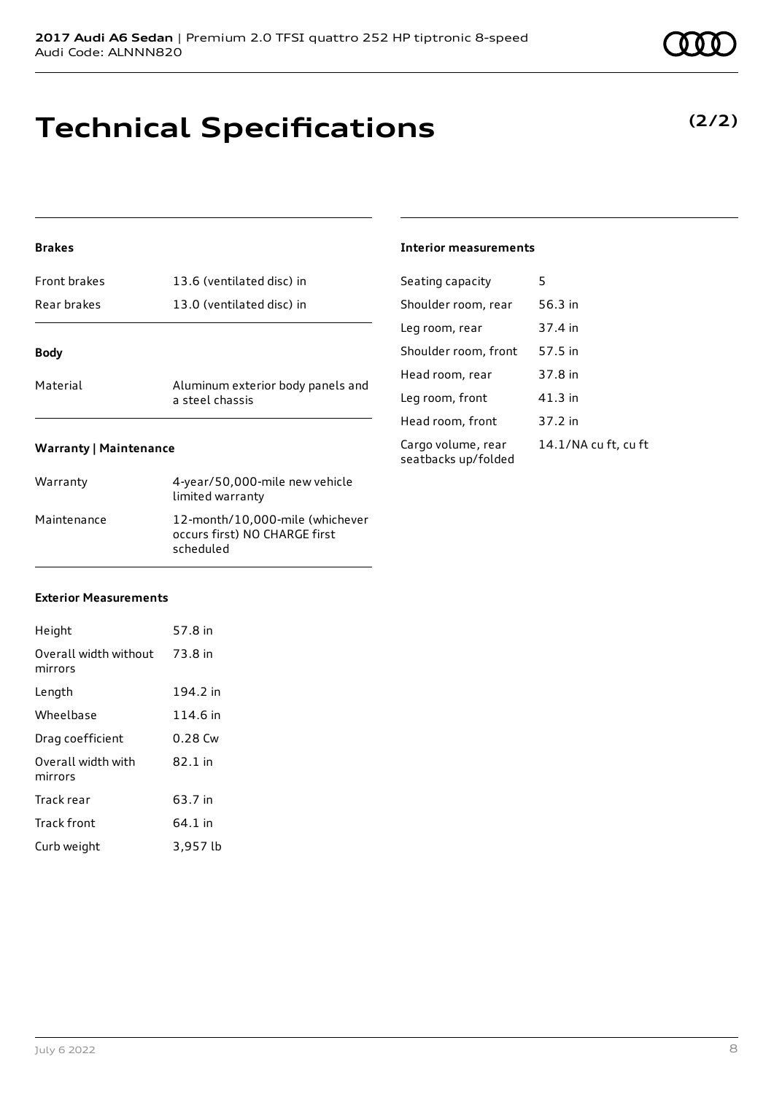## **Technical Specifications**

### **Brakes**

| Front brakes | 13.6 (ventilated disc) in                            |
|--------------|------------------------------------------------------|
| Rear brakes  | 13.0 (ventilated disc) in                            |
| <b>Body</b>  |                                                      |
|              |                                                      |
| Material     | Aluminum exterior body panels and<br>a steel chassis |
|              |                                                      |

### **Warranty | Maintenance**

| Warranty    | 4-year/50,000-mile new vehicle<br>limited warranty                            |
|-------------|-------------------------------------------------------------------------------|
| Maintenance | 12-month/10,000-mile (whichever<br>occurs first) NO CHARGE first<br>scheduled |

### **Interior measurements**

| Seating capacity                          | 5                    |
|-------------------------------------------|----------------------|
| Shoulder room, rear                       | 56.3 in              |
| Leg room, rear                            | 37.4 in              |
| Shoulder room, front                      | 57.5 in              |
| Head room, rear                           | 37.8 in              |
| Leg room, front                           | 41.3 in              |
| Head room, front                          | 37.2 in              |
| Cargo volume, rear<br>seatbacks up/folded | 14.1/NA cu ft, cu ft |

#### **Exterior Measurements**

| Height                           | 57.8 in   |
|----------------------------------|-----------|
| Overall width without<br>mirrors | 73.8 in   |
| Length                           | 194.2 in  |
| Wheelbase                        | 114.6 in  |
| Drag coefficient                 | $0.28$ Cw |
| Overall width with<br>mirrors    | 82.1 in   |
| Track rear                       | 63.7 in   |
| <b>Track front</b>               | 64.1 in   |
| Curb weight                      | 3,957 lb  |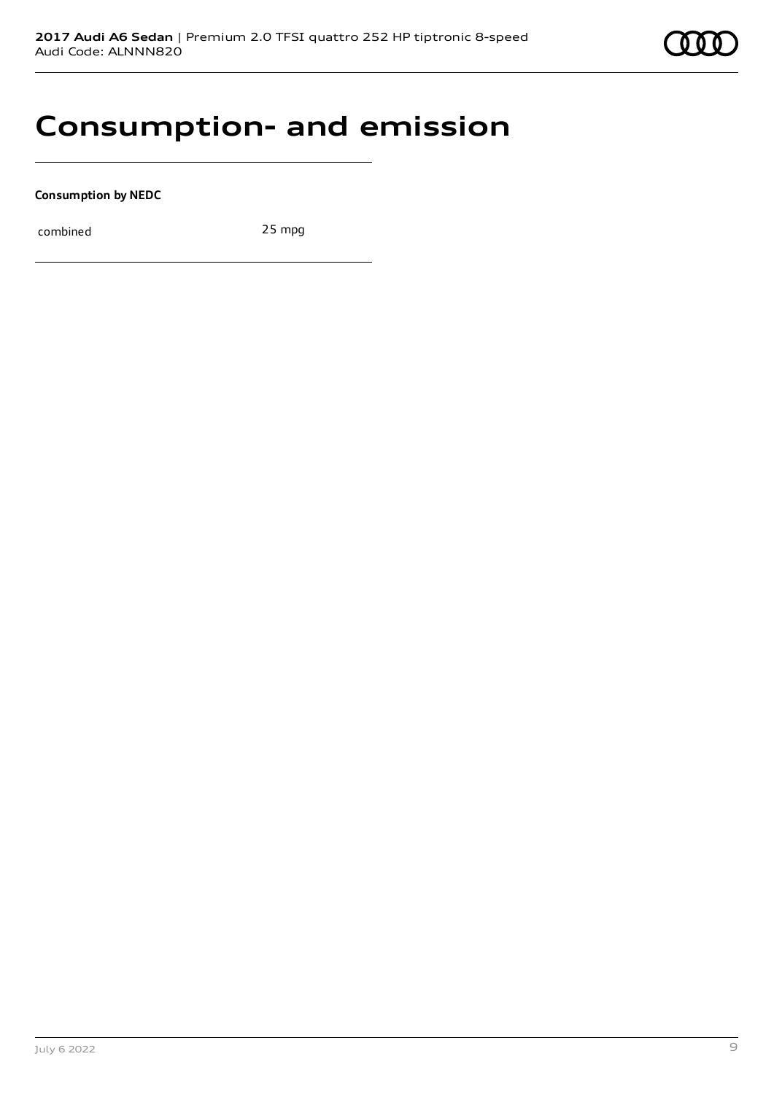

## **Consumption- and emission**

**Consumption by NEDC**

combined 25 mpg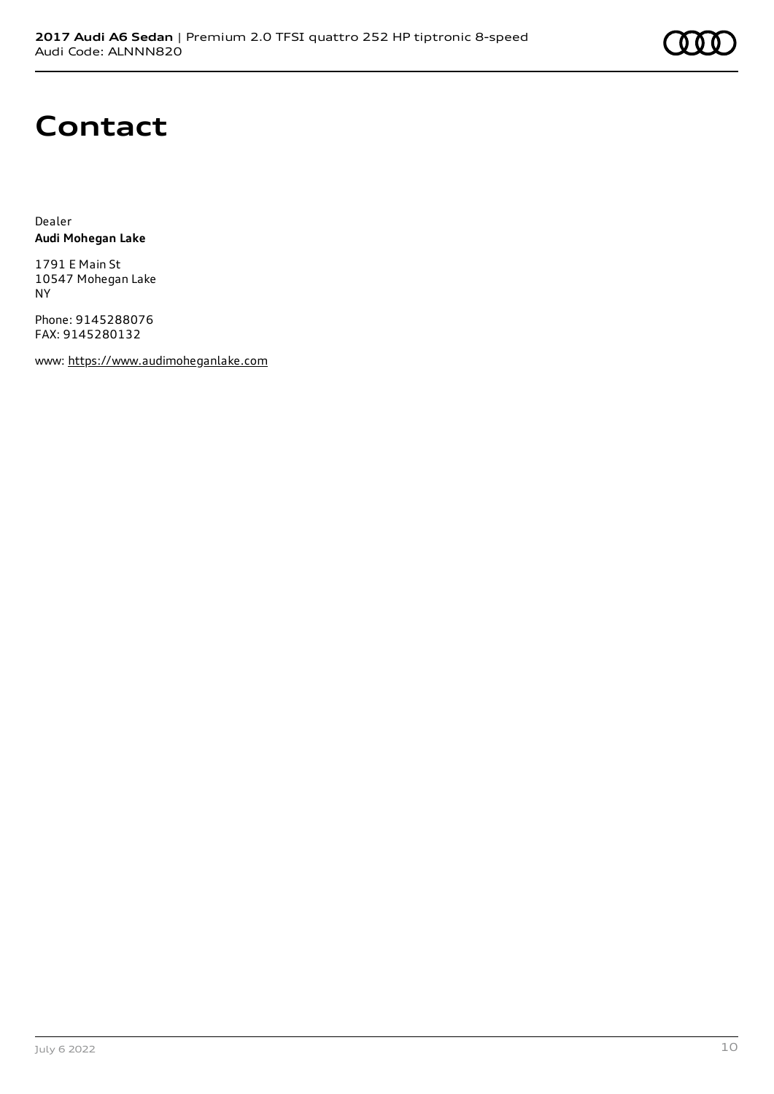

## **Contact**

Dealer **Audi Mohegan Lake**

1791 E Main St 10547 Mohegan Lake NY

Phone: 9145288076 FAX: 9145280132

www: [https://www.audimoheganlake.com](https://www.audimoheganlake.com/)